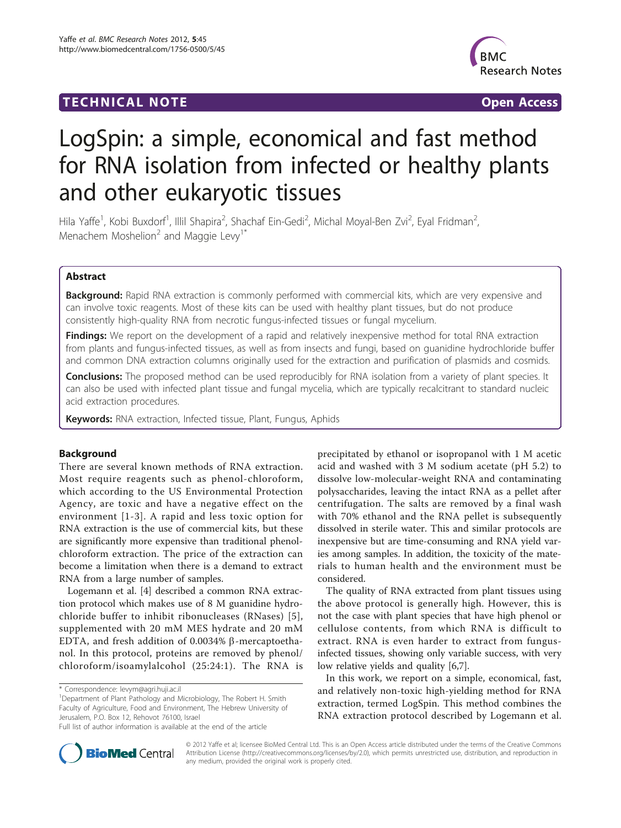## TECHNICAL NOTE And the open Access of the open Access of the open Access of the open Access of the open Access



# LogSpin: a simple, economical and fast method for RNA isolation from infected or healthy plants and other eukaryotic tissues

Hila Yaffe<sup>1</sup>, Kobi Buxdorf<sup>1</sup>, Illil Shapira<sup>2</sup>, Shachaf Ein-Gedi<sup>2</sup>, Michal Moyal-Ben Zvi<sup>2</sup>, Eyal Fridman<sup>2</sup> , Menachem Moshelion<sup>2</sup> and Maggie Levy<sup>1\*</sup>

## Abstract

**Background:** Rapid RNA extraction is commonly performed with commercial kits, which are very expensive and can involve toxic reagents. Most of these kits can be used with healthy plant tissues, but do not produce consistently high-quality RNA from necrotic fungus-infected tissues or fungal mycelium.

**Findings:** We report on the development of a rapid and relatively inexpensive method for total RNA extraction from plants and fungus-infected tissues, as well as from insects and fungi, based on guanidine hydrochloride buffer and common DNA extraction columns originally used for the extraction and purification of plasmids and cosmids.

Conclusions: The proposed method can be used reproducibly for RNA isolation from a variety of plant species. It can also be used with infected plant tissue and fungal mycelia, which are typically recalcitrant to standard nucleic acid extraction procedures.

Keywords: RNA extraction, Infected tissue, Plant, Fungus, Aphids

#### Background

There are several known methods of RNA extraction. Most require reagents such as phenol-chloroform, which according to the US Environmental Protection Agency, are toxic and have a negative effect on the environment [[1](#page-7-0)-[3](#page-7-0)]. A rapid and less toxic option for RNA extraction is the use of commercial kits, but these are significantly more expensive than traditional phenolchloroform extraction. The price of the extraction can become a limitation when there is a demand to extract RNA from a large number of samples.

Logemann et al. [[4](#page-7-0)] described a common RNA extraction protocol which makes use of 8 M guanidine hydrochloride buffer to inhibit ribonucleases (RNases) [[5\]](#page-7-0), supplemented with 20 mM MES hydrate and 20 mM EDTA, and fresh addition of  $0.0034\%$   $\beta$ -mercaptoethanol. In this protocol, proteins are removed by phenol/ chloroform/isoamylalcohol (25:24:1). The RNA is

\* Correspondence: [levym@agri.huji.ac.il](mailto:levym@agri.huji.ac.il)

precipitated by ethanol or isopropanol with 1 M acetic acid and washed with 3 M sodium acetate (pH 5.2) to dissolve low-molecular-weight RNA and contaminating polysaccharides, leaving the intact RNA as a pellet after centrifugation. The salts are removed by a final wash with 70% ethanol and the RNA pellet is subsequently dissolved in sterile water. This and similar protocols are inexpensive but are time-consuming and RNA yield varies among samples. In addition, the toxicity of the materials to human health and the environment must be considered.

The quality of RNA extracted from plant tissues using the above protocol is generally high. However, this is not the case with plant species that have high phenol or cellulose contents, from which RNA is difficult to extract. RNA is even harder to extract from fungusinfected tissues, showing only variable success, with very low relative yields and quality [\[6,7](#page-7-0)].

In this work, we report on a simple, economical, fast, and relatively non-toxic high-yielding method for RNA extraction, termed LogSpin. This method combines the RNA extraction protocol described by Logemann et al.



© 2012 Yaffe et al; licensee BioMed Central Ltd. This is an Open Access article distributed under the terms of the Creative Commons Attribution License [\(http://creativecommons.org/licenses/by/2.0](http://creativecommons.org/licenses/by/2.0)), which permits unrestricted use, distribution, and reproduction in any medium, provided the original work is properly cited.

<sup>&</sup>lt;sup>1</sup>Department of Plant Pathology and Microbiology, The Robert H. Smith Faculty of Agriculture, Food and Environment, The Hebrew University of Jerusalem, P.O. Box 12, Rehovot 76100, Israel

Full list of author information is available at the end of the article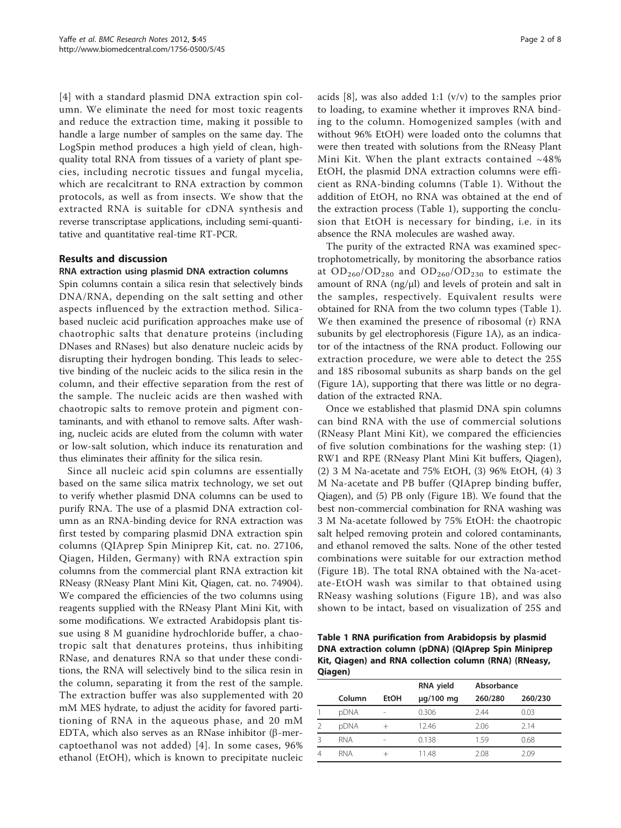[[4](#page-7-0)] with a standard plasmid DNA extraction spin column. We eliminate the need for most toxic reagents and reduce the extraction time, making it possible to handle a large number of samples on the same day. The LogSpin method produces a high yield of clean, highquality total RNA from tissues of a variety of plant species, including necrotic tissues and fungal mycelia, which are recalcitrant to RNA extraction by common protocols, as well as from insects. We show that the extracted RNA is suitable for cDNA synthesis and reverse transcriptase applications, including semi-quantitative and quantitative real-time RT-PCR.

#### Results and discussion

## RNA extraction using plasmid DNA extraction columns

Spin columns contain a silica resin that selectively binds DNA/RNA, depending on the salt setting and other aspects influenced by the extraction method. Silicabased nucleic acid purification approaches make use of chaotrophic salts that denature proteins (including DNases and RNases) but also denature nucleic acids by disrupting their hydrogen bonding. This leads to selective binding of the nucleic acids to the silica resin in the column, and their effective separation from the rest of the sample. The nucleic acids are then washed with chaotropic salts to remove protein and pigment contaminants, and with ethanol to remove salts. After washing, nucleic acids are eluted from the column with water or low-salt solution, which induce its renaturation and thus eliminates their affinity for the silica resin.

Since all nucleic acid spin columns are essentially based on the same silica matrix technology, we set out to verify whether plasmid DNA columns can be used to purify RNA. The use of a plasmid DNA extraction column as an RNA-binding device for RNA extraction was first tested by comparing plasmid DNA extraction spin columns (QIAprep Spin Miniprep Kit, cat. no. 27106, Qiagen, Hilden, Germany) with RNA extraction spin columns from the commercial plant RNA extraction kit RNeasy (RNeasy Plant Mini Kit, Qiagen, cat. no. 74904). We compared the efficiencies of the two columns using reagents supplied with the RNeasy Plant Mini Kit, with some modifications. We extracted Arabidopsis plant tissue using 8 M guanidine hydrochloride buffer, a chaotropic salt that denatures proteins, thus inhibiting RNase, and denatures RNA so that under these conditions, the RNA will selectively bind to the silica resin in the column, separating it from the rest of the sample. The extraction buffer was also supplemented with 20 mM MES hydrate, to adjust the acidity for favored partitioning of RNA in the aqueous phase, and 20 mM EDTA, which also serves as an RNase inhibitor  $(\beta$ -mercaptoethanol was not added) [[4](#page-7-0)]. In some cases, 96% ethanol (EtOH), which is known to precipitate nucleic acids  $[8]$  $[8]$ , was also added 1:1  $(v/v)$  to the samples prior to loading, to examine whether it improves RNA binding to the column. Homogenized samples (with and without 96% EtOH) were loaded onto the columns that were then treated with solutions from the RNeasy Plant Mini Kit. When the plant extracts contained  $~148\%$ EtOH, the plasmid DNA extraction columns were efficient as RNA-binding columns (Table 1). Without the addition of EtOH, no RNA was obtained at the end of the extraction process (Table 1), supporting the conclusion that EtOH is necessary for binding, i.e. in its absence the RNA molecules are washed away.

The purity of the extracted RNA was examined spectrophotometrically, by monitoring the absorbance ratios at  $OD_{260}/OD_{280}$  and  $OD_{260}/OD_{230}$  to estimate the amount of RNA (ng/μl) and levels of protein and salt in the samples, respectively. Equivalent results were obtained for RNA from the two column types (Table 1). We then examined the presence of ribosomal (r) RNA subunits by gel electrophoresis (Figure [1A\)](#page-2-0), as an indicator of the intactness of the RNA product. Following our extraction procedure, we were able to detect the 25S and 18S ribosomal subunits as sharp bands on the gel (Figure [1A](#page-2-0)), supporting that there was little or no degradation of the extracted RNA.

Once we established that plasmid DNA spin columns can bind RNA with the use of commercial solutions (RNeasy Plant Mini Kit), we compared the efficiencies of five solution combinations for the washing step: (1) RW1 and RPE (RNeasy Plant Mini Kit buffers, Qiagen), (2) 3 M Na-acetate and 75% EtOH, (3) 96% EtOH, (4) 3 M Na-acetate and PB buffer (QIAprep binding buffer, Qiagen), and (5) PB only (Figure [1B](#page-2-0)). We found that the best non-commercial combination for RNA washing was 3 M Na-acetate followed by 75% EtOH: the chaotropic salt helped removing protein and colored contaminants, and ethanol removed the salts. None of the other tested combinations were suitable for our extraction method (Figure [1B\)](#page-2-0). The total RNA obtained with the Na-acetate-EtOH wash was similar to that obtained using RNeasy washing solutions (Figure [1B\)](#page-2-0), and was also shown to be intact, based on visualization of 25S and

Table 1 RNA purification from Arabidopsis by plasmid DNA extraction column (pDNA) (QIAprep Spin Miniprep Kit, Qiagen) and RNA collection column (RNA) (RNeasy, Qiagen)

|   |            |                          | RNA yield      | Absorbance |         |
|---|------------|--------------------------|----------------|------------|---------|
|   | Column     | <b>EtOH</b>              | $\mu$ g/100 mg | 260/280    | 260/230 |
|   | pDNA       | $\overline{\phantom{a}}$ | 0.306          | 2.44       | 0.03    |
| 2 | pDNA       |                          | 12.46          | 2.06       | 2.14    |
| 3 | <b>RNA</b> | ۰                        | 0.138          | 1.59       | 0.68    |
| 4 | <b>RNA</b> |                          | 11.48          | 2.08       | 2.09    |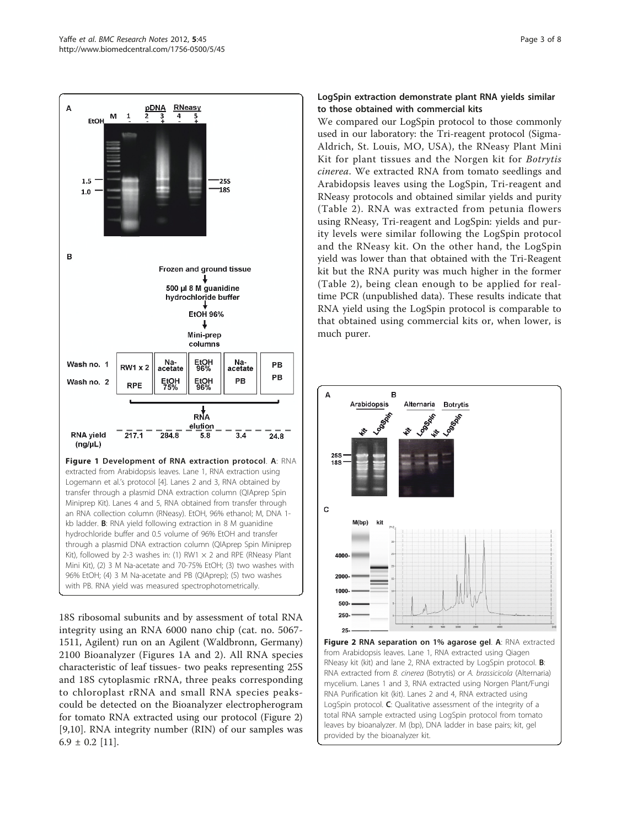<span id="page-2-0"></span>

18S ribosomal subunits and by assessment of total RNA integrity using an RNA 6000 nano chip (cat. no. 5067- 1511, Agilent) run on an Agilent (Waldbronn, Germany) 2100 Bioanalyzer (Figures 1A and 2). All RNA species characteristic of leaf tissues- two peaks representing 25S and 18S cytoplasmic rRNA, three peaks corresponding to chloroplast rRNA and small RNA species peakscould be detected on the Bioanalyzer electropherogram for tomato RNA extracted using our protocol (Figure 2) [[9,10](#page-7-0)]. RNA integrity number (RIN) of our samples was  $6.9 \pm 0.2$  [\[11\]](#page-7-0).

## LogSpin extraction demonstrate plant RNA yields similar to those obtained with commercial kits

We compared our LogSpin protocol to those commonly used in our laboratory: the Tri-reagent protocol (Sigma-Aldrich, St. Louis, MO, USA), the RNeasy Plant Mini Kit for plant tissues and the Norgen kit for Botrytis cinerea. We extracted RNA from tomato seedlings and Arabidopsis leaves using the LogSpin, Tri-reagent and RNeasy protocols and obtained similar yields and purity (Table [2\)](#page-3-0). RNA was extracted from petunia flowers using RNeasy, Tri-reagent and LogSpin: yields and purity levels were similar following the LogSpin protocol and the RNeasy kit. On the other hand, the LogSpin yield was lower than that obtained with the Tri-Reagent kit but the RNA purity was much higher in the former (Table [2\)](#page-3-0), being clean enough to be applied for realtime PCR (unpublished data). These results indicate that RNA yield using the LogSpin protocol is comparable to that obtained using commercial kits or, when lower, is much purer.



Figure 2 RNA separation on 1% agarose gel. A: RNA extracted from Arabidopsis leaves. Lane 1, RNA extracted using Qiagen RNeasy kit (kit) and lane 2, RNA extracted by LogSpin protocol. B: RNA extracted from B. cinerea (Botrytis) or A. brassicicola (Alternaria) mycelium. Lanes 1 and 3, RNA extracted using Norgen Plant/Fungi RNA Purification kit (kit). Lanes 2 and 4, RNA extracted using LogSpin protocol. C: Qualitative assessment of the integrity of a total RNA sample extracted using LogSpin protocol from tomato leaves by bioanalyzer. M (bp), DNA ladder in base pairs; kit, gel provided by the bioanalyzer kit.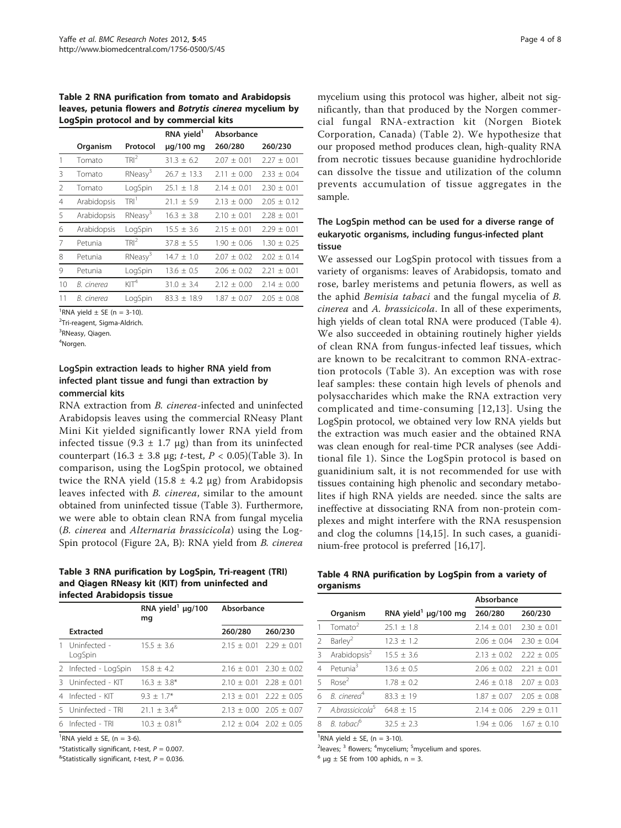<span id="page-3-0"></span>Table 2 RNA purification from tomato and Arabidopsis leaves, petunia flowers and Botrytis cinerea mycelium by LogSpin protocol and by commercial kits

|               |             |                     | RNA yield <sup>1</sup> | Absorbance      |                 |
|---------------|-------------|---------------------|------------------------|-----------------|-----------------|
|               | Organism    | Protocol            | $\mu$ g/100 mg         | 260/280         | 260/230         |
| 1             | Tomato      | TRI <sup>2</sup>    | $31.3 \pm 6.2$         | $2.07 + 0.01$   | $2.27 \pm 0.01$ |
| 3             | Tomato      | RNeasy <sup>3</sup> | $26.7 \pm 13.3$        | $2.11 \pm 0.00$ | $2.33 \pm 0.04$ |
| $\mathcal{L}$ | Tomato      | LogSpin             | $25.1 \pm 1.8$         | $2.14 \pm 0.01$ | $2.30 \pm 0.01$ |
| 4             | Arabidopsis | TRI <sup>1</sup>    | $21.1 \pm 5.9$         | $2.13 \pm 0.00$ | $2.05 \pm 0.12$ |
| 5             | Arabidopsis | RNeasy <sup>3</sup> | $16.3 \pm 3.8$         | $2.10 \pm 0.01$ | $2.28 \pm 0.01$ |
| 6             | Arabidopsis | LogSpin             | $15.5 \pm 3.6$         | $2.15 \pm 0.01$ | $2.29 \pm 0.01$ |
| 7             | Petunia     | TRI <sup>2</sup>    | $37.8 \pm 5.5$         | $1.90 \pm 0.06$ | $1.30 \pm 0.25$ |
| 8             | Petunia     | RNeasy <sup>3</sup> | $14.7 \pm 1.0$         | $2.07 \pm 0.02$ | $2.02 \pm 0.14$ |
| 9             | Petunia     | LogSpin             | $13.6 \pm 0.5$         | $2.06 \pm 0.02$ | $2.21 \pm 0.01$ |
| 10            | B. cinerea  | KIT <sup>4</sup>    | $31.0 \pm 3.4$         | $2.12 \pm 0.00$ | $2.14 \pm 0.00$ |
| 11            | B. cinerea  | LogSpin             | $83.3 \pm 18.9$        | $1.87 \pm 0.07$ | $2.05 \pm 0.08$ |
|               | $1 - 1 - 1$ |                     |                        |                 |                 |

<sup>1</sup>RNA yield  $\pm$  SE (n = 3-10).

<sup>2</sup>Tri-reagent, Sigma-Aldrich.

<sup>3</sup>RNeasy, Qiagen.

<sup>4</sup>Norgen.

## LogSpin extraction leads to higher RNA yield from infected plant tissue and fungi than extraction by commercial kits

RNA extraction from B. cinerea-infected and uninfected Arabidopsis leaves using the commercial RNeasy Plant Mini Kit yielded significantly lower RNA yield from infected tissue  $(9.3 \pm 1.7 \mu g)$  than from its uninfected counterpart (16.3  $\pm$  3.8 μg; *t*-test, *P* < 0.05)(Table 3). In comparison, using the LogSpin protocol, we obtained twice the RNA yield (15.8  $\pm$  4.2 µg) from Arabidopsis leaves infected with B. cinerea, similar to the amount obtained from uninfected tissue (Table 3). Furthermore, we were able to obtain clean RNA from fungal mycelia (B. cinerea and Alternaria brassicicola) using the Log-Spin protocol (Figure [2A, B\)](#page-2-0): RNA yield from *B. cinerea* 

Table 3 RNA purification by LogSpin, Tri-reagent (TRI) and Qiagen RNeasy kit (KIT) from uninfected and infected Arabidopsis tissue

|                           | RNA yield <sup>1</sup> $\mu$ g/100<br>mg | Absorbance                  |                             |
|---------------------------|------------------------------------------|-----------------------------|-----------------------------|
| <b>Extracted</b>          |                                          | 260/280                     | 260/230                     |
| 1 Uninfected -<br>LogSpin | $15.5 + 3.6$                             | $2.15 + 0.01$ $2.29 + 0.01$ |                             |
| 2 Infected - LogSpin      | $15.8 \pm 4.2$                           |                             | $2.16 + 0.01$ $2.30 + 0.02$ |
| 3 Uninfected - KIT        | $16.3 + 3.8*$                            | $2.10 + 0.01$ $2.28 + 0.01$ |                             |
| 4 Infected - KIT          | $9.3 + 1.7*$                             | $2.13 + 0.01$ $2.22 + 0.05$ |                             |
| 5 Uninfected - TRI        | $21.1 + 3.4^{\alpha}$                    | $2.13 + 0.00$ $2.05 + 0.07$ |                             |
| 6 Infected - TRI          | $10.3 + 0.81^{\circ}$                    |                             | $2.12 + 0.04$ $2.02 + 0.05$ |

 ${}^{1}$ RNA yield  $\pm$  SE, (n = 3-6).

\*Statistically significant, t-test,  $P = 0.007$ .

 $^8$ Statistically significant, t-test,  $P = 0.036$ .

mycelium using this protocol was higher, albeit not significantly, than that produced by the Norgen commercial fungal RNA-extraction kit (Norgen Biotek Corporation, Canada) (Table 2). We hypothesize that our proposed method produces clean, high-quality RNA from necrotic tissues because guanidine hydrochloride can dissolve the tissue and utilization of the column prevents accumulation of tissue aggregates in the sample.

## The LogSpin method can be used for a diverse range of eukaryotic organisms, including fungus-infected plant tissue

We assessed our LogSpin protocol with tissues from a variety of organisms: leaves of Arabidopsis, tomato and rose, barley meristems and petunia flowers, as well as the aphid Bemisia tabaci and the fungal mycelia of B. cinerea and A. brassicicola. In all of these experiments, high yields of clean total RNA were produced (Table 4). We also succeeded in obtaining routinely higher yields of clean RNA from fungus-infected leaf tissues, which are known to be recalcitrant to common RNA-extraction protocols (Table 3). An exception was with rose leaf samples: these contain high levels of phenols and polysaccharides which make the RNA extraction very complicated and time-consuming [[12,13\]](#page-7-0). Using the LogSpin protocol, we obtained very low RNA yields but the extraction was much easier and the obtained RNA was clean enough for real-time PCR analyses (see Additional file [1\)](#page-6-0). Since the LogSpin protocol is based on guanidinium salt, it is not recommended for use with tissues containing high phenolic and secondary metabolites if high RNA yields are needed. since the salts are ineffective at dissociating RNA from non-protein complexes and might interfere with the RNA resuspension and clog the columns [[14,15](#page-7-0)]. In such cases, a guanidinium-free protocol is preferred [[16,17\]](#page-7-0).

#### Table 4 RNA purification by LogSpin from a variety of organisms

|                |                             |                                  | Absorbance                  |                 |
|----------------|-----------------------------|----------------------------------|-----------------------------|-----------------|
|                | Organism                    | RNA yield <sup>1</sup> µg/100 mg | 260/280                     | 260/230         |
|                | Tomato <sup>2</sup>         | $25.1 + 1.8$                     | $2.14 + 0.01$               | $2.30 + 0.01$   |
| $\mathcal{P}$  | $Barlev^2$                  | $12.3 + 1.2$                     | $2.06 + 0.04$               | $2.30 + 0.04$   |
| 3              | Arabidopsis <sup>2</sup>    | $15.5 + 3.6$                     | $2.13 + 0.02$               | $2.22 + 0.05$   |
| $\overline{4}$ | Petunia <sup>3</sup>        | $13.6 + 0.5$                     | $2.06 + 0.02$               | $2.21 \pm 0.01$ |
| 5              | Rose <sup>2</sup>           | $1.78 \pm 0.2$                   | $2.46 + 0.18$ $2.07 + 0.03$ |                 |
| 6              | B. cinered <sup>4</sup>     | $83.3 + 19$                      | $1.87 + 0.07$               | $2.05 + 0.08$   |
| 7              | A.brassicicola <sup>5</sup> | $64.8 + 15$                      | $2.14 + 0.06$               | $2.29 + 0.11$   |
| 8              | B. tabaci <sup>6</sup>      | $32.5 + 2.3$                     | 194 + 006                   | $1.67 + 0.10$   |

 ${}^{1}$ RNA yield  $\pm$  SE, (n = 3-10).

<sup>2</sup>leaves; <sup>3</sup> flowers; <sup>4</sup>mycelium; <sup>5</sup>mycelium and spores.

 $<sup>6</sup>$  µg  $\pm$  SE from 100 aphids, n = 3.</sup>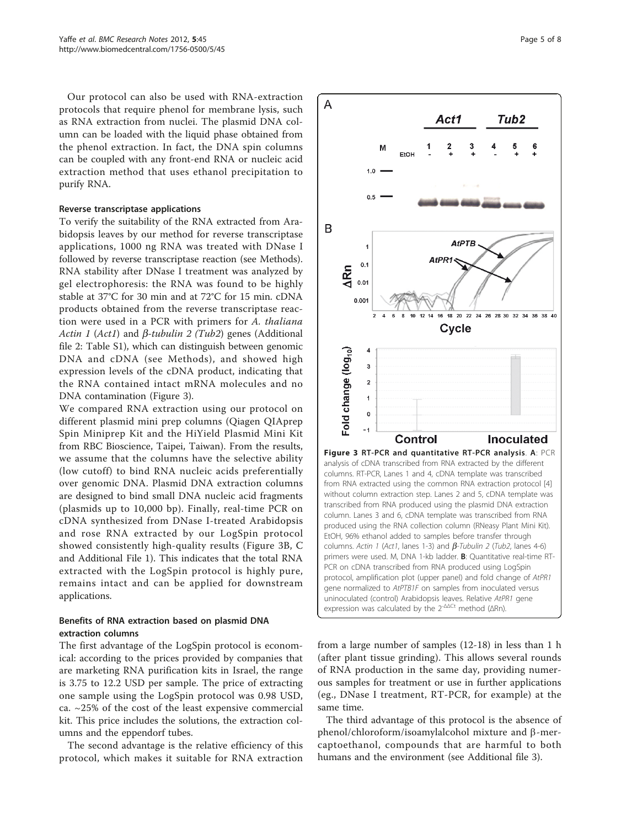Our protocol can also be used with RNA-extraction protocols that require phenol for membrane lysis, such as RNA extraction from nuclei. The plasmid DNA column can be loaded with the liquid phase obtained from the phenol extraction. In fact, the DNA spin columns can be coupled with any front-end RNA or nucleic acid extraction method that uses ethanol precipitation to purify RNA.

#### Reverse transcriptase applications

To verify the suitability of the RNA extracted from Arabidopsis leaves by our method for reverse transcriptase applications, 1000 ng RNA was treated with DNase I followed by reverse transcriptase reaction (see Methods). RNA stability after DNase I treatment was analyzed by gel electrophoresis: the RNA was found to be highly stable at 37°C for 30 min and at 72°C for 15 min. cDNA products obtained from the reverse transcriptase reaction were used in a PCR with primers for A. thaliana Actin 1 (Act1) and  $\beta$ -tubulin 2 (Tub2) genes (Additional file [2](#page-6-0): Table S1), which can distinguish between genomic DNA and cDNA (see Methods), and showed high expression levels of the cDNA product, indicating that the RNA contained intact mRNA molecules and no DNA contamination (Figure 3).

We compared RNA extraction using our protocol on different plasmid mini prep columns (Qiagen QIAprep Spin Miniprep Kit and the HiYield Plasmid Mini Kit from RBC Bioscience, Taipei, Taiwan). From the results, we assume that the columns have the selective ability (low cutoff) to bind RNA nucleic acids preferentially over genomic DNA. Plasmid DNA extraction columns are designed to bind small DNA nucleic acid fragments (plasmids up to 10,000 bp). Finally, real-time PCR on cDNA synthesized from DNase I-treated Arabidopsis and rose RNA extracted by our LogSpin protocol showed consistently high-quality results (Figure 3B, C and Additional File [1\)](#page-6-0). This indicates that the total RNA extracted with the LogSpin protocol is highly pure, remains intact and can be applied for downstream applications.

## Benefits of RNA extraction based on plasmid DNA extraction columns

The first advantage of the LogSpin protocol is economical: according to the prices provided by companies that are marketing RNA purification kits in Israel, the range is 3.75 to 12.2 USD per sample. The price of extracting one sample using the LogSpin protocol was 0.98 USD, ca.  $\sim$ 25% of the cost of the least expensive commercial kit. This price includes the solutions, the extraction columns and the eppendorf tubes.

The second advantage is the relative efficiency of this protocol, which makes it suitable for RNA extraction



from a large number of samples (12-18) in less than 1 h (after plant tissue grinding). This allows several rounds of RNA production in the same day, providing numerous samples for treatment or use in further applications (eg., DNase I treatment, RT-PCR, for example) at the same time.

The third advantage of this protocol is the absence of phenol/chloroform/isoamylalcohol mixture and  $\beta$ -mercaptoethanol, compounds that are harmful to both humans and the environment (see Additional file [3](#page-6-0)).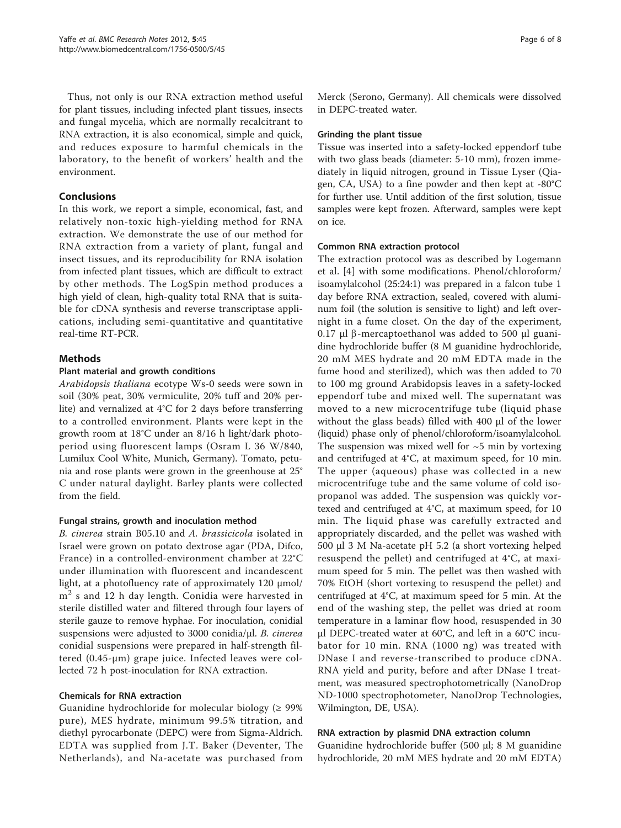Thus, not only is our RNA extraction method useful for plant tissues, including infected plant tissues, insects and fungal mycelia, which are normally recalcitrant to RNA extraction, it is also economical, simple and quick, and reduces exposure to harmful chemicals in the laboratory, to the benefit of workers' health and the environment.

### Conclusions

In this work, we report a simple, economical, fast, and relatively non-toxic high-yielding method for RNA extraction. We demonstrate the use of our method for RNA extraction from a variety of plant, fungal and insect tissues, and its reproducibility for RNA isolation from infected plant tissues, which are difficult to extract by other methods. The LogSpin method produces a high yield of clean, high-quality total RNA that is suitable for cDNA synthesis and reverse transcriptase applications, including semi-quantitative and quantitative real-time RT-PCR.

#### Methods

#### Plant material and growth conditions

Arabidopsis thaliana ecotype Ws-0 seeds were sown in soil (30% peat, 30% vermiculite, 20% tuff and 20% perlite) and vernalized at 4°C for 2 days before transferring to a controlled environment. Plants were kept in the growth room at 18°C under an 8/16 h light/dark photoperiod using fluorescent lamps (Osram L 36 W/840, Lumilux Cool White, Munich, Germany). Tomato, petunia and rose plants were grown in the greenhouse at 25° C under natural daylight. Barley plants were collected from the field.

#### Fungal strains, growth and inoculation method

B. cinerea strain B05.10 and A. brassicicola isolated in Israel were grown on potato dextrose agar (PDA, Difco, France) in a controlled-environment chamber at 22°C under illumination with fluorescent and incandescent light, at a photofluency rate of approximately 120 μmol/  $m<sup>2</sup>$  s and 12 h day length. Conidia were harvested in sterile distilled water and filtered through four layers of sterile gauze to remove hyphae. For inoculation, conidial suspensions were adjusted to 3000 conidia/μl. B. cinerea conidial suspensions were prepared in half-strength filtered (0.45-μm) grape juice. Infected leaves were collected 72 h post-inoculation for RNA extraction.

#### Chemicals for RNA extraction

Guanidine hydrochloride for molecular biology  $(≥ 99%$ pure), MES hydrate, minimum 99.5% titration, and diethyl pyrocarbonate (DEPC) were from Sigma-Aldrich. EDTA was supplied from J.T. Baker (Deventer, The Netherlands), and Na-acetate was purchased from Merck (Serono, Germany). All chemicals were dissolved in DEPC-treated water.

#### Grinding the plant tissue

Tissue was inserted into a safety-locked eppendorf tube with two glass beads (diameter: 5-10 mm), frozen immediately in liquid nitrogen, ground in Tissue Lyser (Qiagen, CA, USA) to a fine powder and then kept at -80°C for further use. Until addition of the first solution, tissue samples were kept frozen. Afterward, samples were kept on ice.

#### Common RNA extraction protocol

The extraction protocol was as described by Logemann et al. [\[4](#page-7-0)] with some modifications. Phenol/chloroform/ isoamylalcohol (25:24:1) was prepared in a falcon tube 1 day before RNA extraction, sealed, covered with aluminum foil (the solution is sensitive to light) and left overnight in a fume closet. On the day of the experiment, 0.17 μl  $\beta$ -mercaptoethanol was added to 500 μl guanidine hydrochloride buffer (8 M guanidine hydrochloride, 20 mM MES hydrate and 20 mM EDTA made in the fume hood and sterilized), which was then added to 70 to 100 mg ground Arabidopsis leaves in a safety-locked eppendorf tube and mixed well. The supernatant was moved to a new microcentrifuge tube (liquid phase without the glass beads) filled with 400 μl of the lower (liquid) phase only of phenol/chloroform/isoamylalcohol. The suspension was mixed well for  $\sim$  5 min by vortexing and centrifuged at 4°C, at maximum speed, for 10 min. The upper (aqueous) phase was collected in a new microcentrifuge tube and the same volume of cold isopropanol was added. The suspension was quickly vortexed and centrifuged at 4°C, at maximum speed, for 10 min. The liquid phase was carefully extracted and appropriately discarded, and the pellet was washed with 500 μl 3 M Na-acetate pH 5.2 (a short vortexing helped resuspend the pellet) and centrifuged at 4°C, at maximum speed for 5 min. The pellet was then washed with 70% EtOH (short vortexing to resuspend the pellet) and centrifuged at 4°C, at maximum speed for 5 min. At the end of the washing step, the pellet was dried at room temperature in a laminar flow hood, resuspended in 30 μl DEPC-treated water at 60°C, and left in a 60°C incubator for 10 min. RNA (1000 ng) was treated with DNase I and reverse-transcribed to produce cDNA. RNA yield and purity, before and after DNase I treatment, was measured spectrophotometrically (NanoDrop ND-1000 spectrophotometer, NanoDrop Technologies, Wilmington, DE, USA).

#### RNA extraction by plasmid DNA extraction column

Guanidine hydrochloride buffer (500 μl; 8 M guanidine hydrochloride, 20 mM MES hydrate and 20 mM EDTA)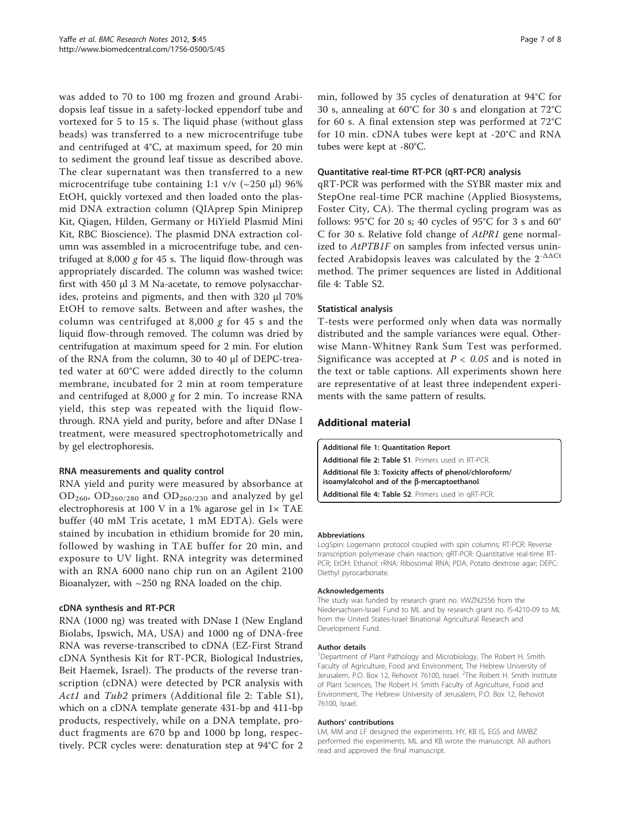<span id="page-6-0"></span>was added to 70 to 100 mg frozen and ground Arabidopsis leaf tissue in a safety-locked eppendorf tube and vortexed for 5 to 15 s. The liquid phase (without glass beads) was transferred to a new microcentrifuge tube and centrifuged at 4°C, at maximum speed, for 20 min to sediment the ground leaf tissue as described above. The clear supernatant was then transferred to a new microcentrifuge tube containing 1:1  $v/v$  (~250 µl) 96% EtOH, quickly vortexed and then loaded onto the plasmid DNA extraction column (QIAprep Spin Miniprep Kit, Qiagen, Hilden, Germany or HiYield Plasmid Mini Kit, RBC Bioscience). The plasmid DNA extraction column was assembled in a microcentrifuge tube, and centrifuged at 8,000  $g$  for 45 s. The liquid flow-through was appropriately discarded. The column was washed twice: first with 450 μl 3 M Na-acetate, to remove polysaccharides, proteins and pigments, and then with 320 μl 70% EtOH to remove salts. Between and after washes, the column was centrifuged at  $8,000$  g for  $45$  s and the liquid flow-through removed. The column was dried by centrifugation at maximum speed for 2 min. For elution of the RNA from the column, 30 to 40 μl of DEPC-treated water at 60°C were added directly to the column membrane, incubated for 2 min at room temperature and centrifuged at 8,000 g for 2 min. To increase RNA yield, this step was repeated with the liquid flowthrough. RNA yield and purity, before and after DNase I treatment, were measured spectrophotometrically and by gel electrophoresis.

#### RNA measurements and quality control

RNA yield and purity were measured by absorbance at  $OD<sub>260</sub>, OD<sub>260/280</sub>$  and  $OD<sub>260/230</sub>$  and analyzed by gel electrophoresis at 100 V in a 1% agarose gel in 1× TAE buffer (40 mM Tris acetate, 1 mM EDTA). Gels were stained by incubation in ethidium bromide for 20 min, followed by washing in TAE buffer for 20 min, and exposure to UV light. RNA integrity was determined with an RNA 6000 nano chip run on an Agilent 2100 Bioanalyzer, with  $\sim$ 250 ng RNA loaded on the chip.

#### cDNA synthesis and RT-PCR

RNA (1000 ng) was treated with DNase I (New England Biolabs, Ipswich, MA, USA) and 1000 ng of DNA-free RNA was reverse-transcribed to cDNA (EZ-First Strand cDNA Synthesis Kit for RT-PCR, Biological Industries, Beit Haemek, Israel). The products of the reverse transcription (cDNA) were detected by PCR analysis with Act1 and Tub2 primers (Additional file 2: Table S1), which on a cDNA template generate 431-bp and 411-bp products, respectively, while on a DNA template, product fragments are 670 bp and 1000 bp long, respectively. PCR cycles were: denaturation step at 94°C for 2

min, followed by 35 cycles of denaturation at 94°C for 30 s, annealing at 60°C for 30 s and elongation at 72°C for 60 s. A final extension step was performed at 72°C for 10 min. cDNA tubes were kept at -20°C and RNA tubes were kept at -80°C.

#### Quantitative real-time RT-PCR (qRT-PCR) analysis

qRT-PCR was performed with the SYBR master mix and StepOne real-time PCR machine (Applied Biosystems, Foster City, CA). The thermal cycling program was as follows: 95°C for 20 s; 40 cycles of 95°C for 3 s and 60° C for 30 s. Relative fold change of AtPR1 gene normalized to AtPTB1F on samples from infected versus uninfected Arabidopsis leaves was calculated by the  $2^{-\Delta\Delta Ct}$ method. The primer sequences are listed in Additional file 4: Table S2.

#### Statistical analysis

T-tests were performed only when data was normally distributed and the sample variances were equal. Otherwise Mann-Whitney Rank Sum Test was performed. Significance was accepted at  $P < 0.05$  and is noted in the text or table captions. All experiments shown here are representative of at least three independent experiments with the same pattern of results.

#### Additional material

[Additional file 1: Q](http://www.biomedcentral.com/content/supplementary/1756-0500-5-45-S1.PDF)uantitation Report.

[Additional file 2: T](http://www.biomedcentral.com/content/supplementary/1756-0500-5-45-S2.PDF)able S1. Primers used in RT-PCR. [Additional file 3: T](http://www.biomedcentral.com/content/supplementary/1756-0500-5-45-S3.PDF)oxicity affects of phenol/chloroform/ isoamylalcohol and of the  $\beta$ -mercaptoethanol

[Additional file 4: T](http://www.biomedcentral.com/content/supplementary/1756-0500-5-45-S4.PDF)able S2. Primers used in qRT-PCR.

#### Abbreviations

LogSpin: Logemann protocol coupled with spin columns; RT-PCR: Reverse transcription polymerase chain reaction; qRT-PCR: Quantitative real-time RT-PCR; EtOH: Ethanol; rRNA: Ribosomal RNA; PDA: Potato dextrose agar; DEPC: Diethyl pyrocarbonate.

#### Acknowledgements

The study was funded by research grant no. VWZN2556 from the Niedersachsen-Israel Fund to ML and by research grant no. IS-4210-09 to ML from the United States-Israel Binational Agricultural Research and Development Fund.

#### Author details

<sup>1</sup>Department of Plant Pathology and Microbiology, The Robert H. Smith Faculty of Agriculture, Food and Environment, The Hebrew University of Jerusalem, P.O. Box 12, Rehovot 76100, Israel. <sup>2</sup>The Robert H. Smith Institute of Plant Sciences, The Robert H. Smith Faculty of Agriculture, Food and Environment, The Hebrew University of Jerusalem, P.O. Box 12, Rehovot 76100, Israel.

#### Authors' contributions

LM, MM and LF designed the experiments. HY, KB IS, EGS and MMBZ performed the experiments. ML and KB wrote the manuscript. All authors read and approved the final manuscript.